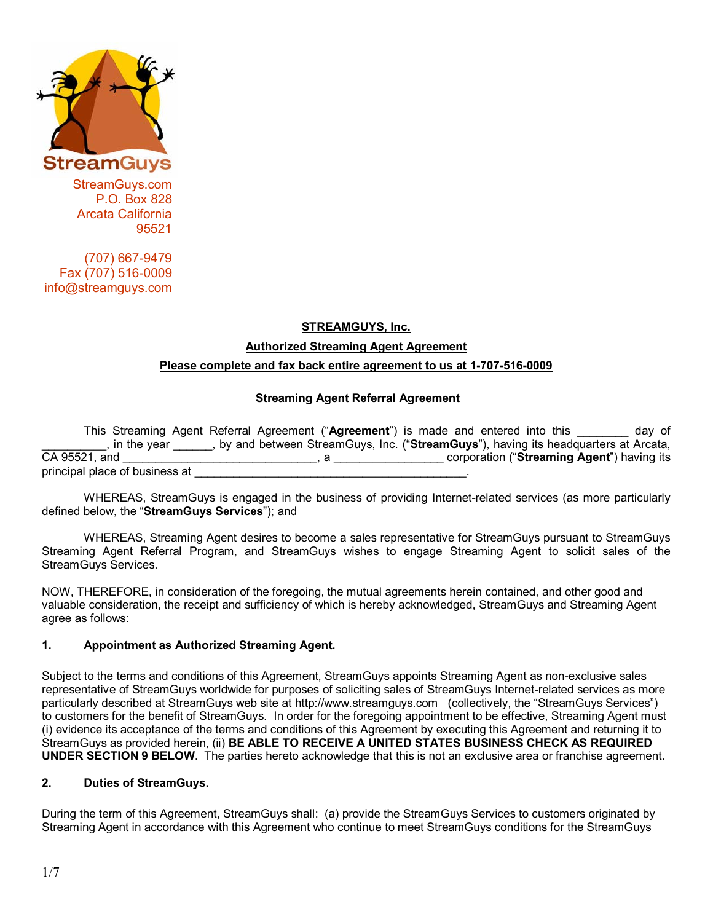

StreamGuys.com P.O. Box 828 Arcata California 95521

 (707) 667-9479 Fax (707) 516-0009 info@streamguys.com

# **STREAMGUYS, Inc. Authorized Streaming Agent Agreement Please complete and fax back entire agreement to us at 1-707-516-0009**

## **Streaming Agent Referral Agreement**

 This Streaming Agent Referral Agreement ("**Agreement**") is made and entered into this \_\_\_\_\_\_\_\_ day of \_\_\_\_\_\_\_\_\_\_, in the year \_\_\_\_\_\_, by and between StreamGuys, Inc. ("**StreamGuys**"), having its headquarters at Arcata, CA 95521, and \_\_\_\_\_\_\_\_\_\_\_\_\_\_\_\_\_\_\_\_\_\_\_\_\_\_\_\_\_\_, a \_\_\_\_\_\_\_\_\_\_\_\_\_\_\_\_\_ corporation ("**Streaming Agent**") having its principal place of business at

WHEREAS, StreamGuys is engaged in the business of providing Internet-related services (as more particularly defined below, the "**StreamGuys Services**"); and

WHEREAS, Streaming Agent desires to become a sales representative for StreamGuys pursuant to StreamGuys Streaming Agent Referral Program, and StreamGuys wishes to engage Streaming Agent to solicit sales of the StreamGuys Services.

NOW, THEREFORE, in consideration of the foregoing, the mutual agreements herein contained, and other good and valuable consideration, the receipt and sufficiency of which is hereby acknowledged, StreamGuys and Streaming Agent agree as follows:

#### **1. Appointment as Authorized Streaming Agent.**

Subject to the terms and conditions of this Agreement, StreamGuys appoints Streaming Agent as non-exclusive sales representative of StreamGuys worldwide for purposes of soliciting sales of StreamGuys Internet-related services as more particularly described at StreamGuys web site at http://www.streamguys.com (collectively, the "StreamGuys Services") to customers for the benefit of StreamGuys. In order for the foregoing appointment to be effective, Streaming Agent must (i) evidence its acceptance of the terms and conditions of this Agreement by executing this Agreement and returning it to StreamGuys as provided herein, (ii) **BE ABLE TO RECEIVE A UNITED STATES BUSINESS CHECK AS REQUIRED UNDER SECTION 9 BELOW**. The parties hereto acknowledge that this is not an exclusive area or franchise agreement.

#### **2. Duties of StreamGuys.**

During the term of this Agreement, StreamGuys shall: (a) provide the StreamGuys Services to customers originated by Streaming Agent in accordance with this Agreement who continue to meet StreamGuys conditions for the StreamGuys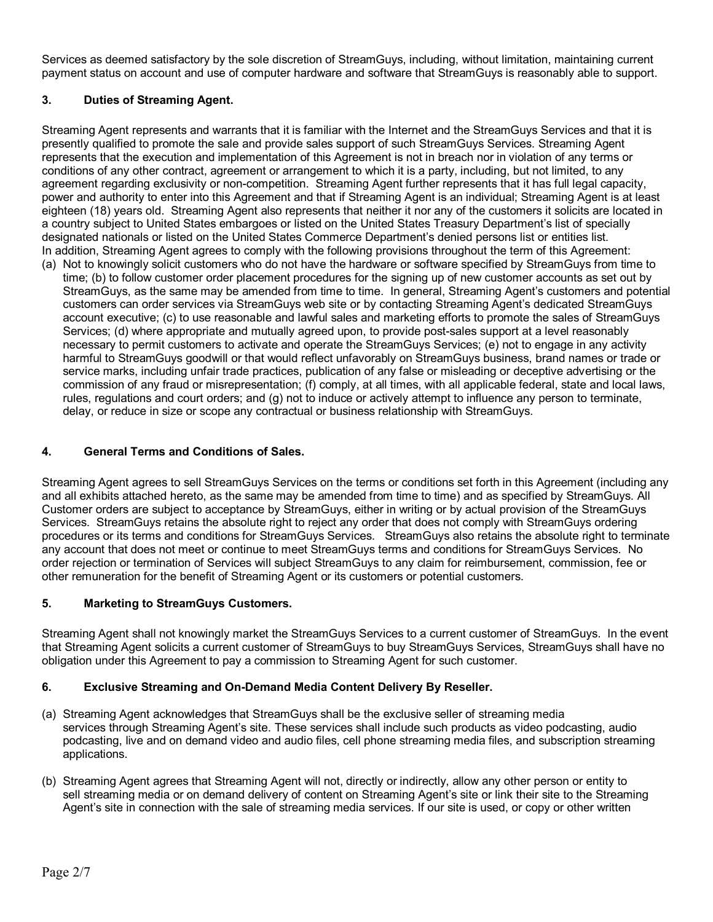Services as deemed satisfactory by the sole discretion of StreamGuys, including, without limitation, maintaining current payment status on account and use of computer hardware and software that StreamGuys is reasonably able to support.

# **3. Duties of Streaming Agent.**

Streaming Agent represents and warrants that it is familiar with the Internet and the StreamGuys Services and that it is presently qualified to promote the sale and provide sales support of such StreamGuys Services. Streaming Agent represents that the execution and implementation of this Agreement is not in breach nor in violation of any terms or conditions of any other contract, agreement or arrangement to which it is a party, including, but not limited, to any agreement regarding exclusivity or non-competition. Streaming Agent further represents that it has full legal capacity, power and authority to enter into this Agreement and that if Streaming Agent is an individual; Streaming Agent is at least eighteen (18) years old. Streaming Agent also represents that neither it nor any of the customers it solicits are located in a country subject to United States embargoes or listed on the United States Treasury Department's list of specially designated nationals or listed on the United States Commerce Department's denied persons list or entities list. In addition, Streaming Agent agrees to comply with the following provisions throughout the term of this Agreement:

(a) Not to knowingly solicit customers who do not have the hardware or software specified by StreamGuys from time to time; (b) to follow customer order placement procedures for the signing up of new customer accounts as set out by StreamGuys, as the same may be amended from time to time. In general, Streaming Agent's customers and potential customers can order services via StreamGuys web site or by contacting Streaming Agent's dedicated StreamGuys account executive; (c) to use reasonable and lawful sales and marketing efforts to promote the sales of StreamGuys Services; (d) where appropriate and mutually agreed upon, to provide post-sales support at a level reasonably necessary to permit customers to activate and operate the StreamGuys Services; (e) not to engage in any activity harmful to StreamGuys goodwill or that would reflect unfavorably on StreamGuys business, brand names or trade or service marks, including unfair trade practices, publication of any false or misleading or deceptive advertising or the commission of any fraud or misrepresentation; (f) comply, at all times, with all applicable federal, state and local laws, rules, regulations and court orders; and (g) not to induce or actively attempt to influence any person to terminate, delay, or reduce in size or scope any contractual or business relationship with StreamGuys.

## **4. General Terms and Conditions of Sales.**

Streaming Agent agrees to sell StreamGuys Services on the terms or conditions set forth in this Agreement (including any and all exhibits attached hereto, as the same may be amended from time to time) and as specified by StreamGuys. All Customer orders are subject to acceptance by StreamGuys, either in writing or by actual provision of the StreamGuys Services. StreamGuys retains the absolute right to reject any order that does not comply with StreamGuys ordering procedures or its terms and conditions for StreamGuys Services. StreamGuys also retains the absolute right to terminate any account that does not meet or continue to meet StreamGuys terms and conditions for StreamGuys Services. No order rejection or termination of Services will subject StreamGuys to any claim for reimbursement, commission, fee or other remuneration for the benefit of Streaming Agent or its customers or potential customers.

#### **5. Marketing to StreamGuys Customers.**

Streaming Agent shall not knowingly market the StreamGuys Services to a current customer of StreamGuys. In the event that Streaming Agent solicits a current customer of StreamGuys to buy StreamGuys Services, StreamGuys shall have no obligation under this Agreement to pay a commission to Streaming Agent for such customer.

#### **6. Exclusive Streaming and On-Demand Media Content Delivery By Reseller.**

- (a) Streaming Agent acknowledges that StreamGuys shall be the exclusive seller of streaming media services through Streaming Agent's site. These services shall include such products as video podcasting, audio podcasting, live and on demand video and audio files, cell phone streaming media files, and subscription streaming applications.
- (b) Streaming Agent agrees that Streaming Agent will not, directly or indirectly, allow any other person or entity to sell streaming media or on demand delivery of content on Streaming Agent's site or link their site to the Streaming Agent's site in connection with the sale of streaming media services. If our site is used, or copy or other written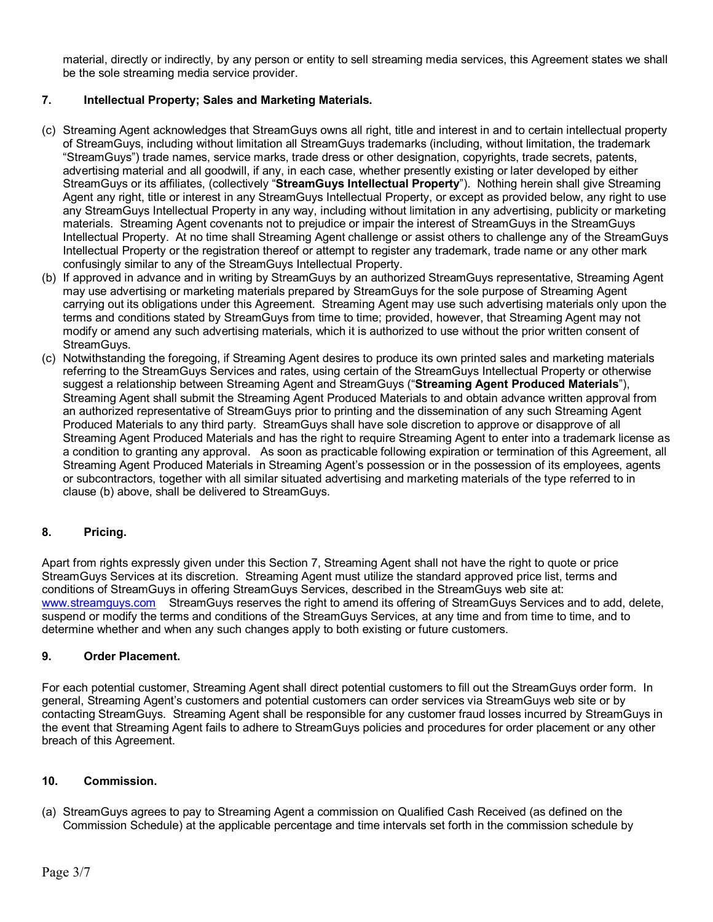material, directly or indirectly, by any person or entity to sell streaming media services, this Agreement states we shall be the sole streaming media service provider.

## **7. Intellectual Property; Sales and Marketing Materials.**

- (c) Streaming Agent acknowledges that StreamGuys owns all right, title and interest in and to certain intellectual property of StreamGuys, including without limitation all StreamGuys trademarks (including, without limitation, the trademark "StreamGuys") trade names, service marks, trade dress or other designation, copyrights, trade secrets, patents, advertising material and all goodwill, if any, in each case, whether presently existing or later developed by either StreamGuys or its affiliates, (collectively "**StreamGuys Intellectual Property**"). Nothing herein shall give Streaming Agent any right, title or interest in any StreamGuys Intellectual Property, or except as provided below, any right to use any StreamGuys Intellectual Property in any way, including without limitation in any advertising, publicity or marketing materials. Streaming Agent covenants not to prejudice or impair the interest of StreamGuys in the StreamGuys Intellectual Property. At no time shall Streaming Agent challenge or assist others to challenge any of the StreamGuys Intellectual Property or the registration thereof or attempt to register any trademark, trade name or any other mark confusingly similar to any of the StreamGuys Intellectual Property.
- (b) If approved in advance and in writing by StreamGuys by an authorized StreamGuys representative, Streaming Agent may use advertising or marketing materials prepared by StreamGuys for the sole purpose of Streaming Agent carrying out its obligations under this Agreement. Streaming Agent may use such advertising materials only upon the terms and conditions stated by StreamGuys from time to time; provided, however, that Streaming Agent may not modify or amend any such advertising materials, which it is authorized to use without the prior written consent of StreamGuys.
- (c) Notwithstanding the foregoing, if Streaming Agent desires to produce its own printed sales and marketing materials referring to the StreamGuys Services and rates, using certain of the StreamGuys Intellectual Property or otherwise suggest a relationship between Streaming Agent and StreamGuys ("**Streaming Agent Produced Materials**"), Streaming Agent shall submit the Streaming Agent Produced Materials to and obtain advance written approval from an authorized representative of StreamGuys prior to printing and the dissemination of any such Streaming Agent Produced Materials to any third party. StreamGuys shall have sole discretion to approve or disapprove of all Streaming Agent Produced Materials and has the right to require Streaming Agent to enter into a trademark license as a condition to granting any approval. As soon as practicable following expiration or termination of this Agreement, all Streaming Agent Produced Materials in Streaming Agent's possession or in the possession of its employees, agents or subcontractors, together with all similar situated advertising and marketing materials of the type referred to in clause (b) above, shall be delivered to StreamGuys.

#### **8. Pricing.**

Apart from rights expressly given under this Section 7, Streaming Agent shall not have the right to quote or price StreamGuys Services at its discretion. Streaming Agent must utilize the standard approved price list, terms and conditions of StreamGuys in offering StreamGuys Services, described in the StreamGuys web site at: www.streamguys.com StreamGuys reserves the right to amend its offering of StreamGuys Services and to add, delete, suspend or modify the terms and conditions of the StreamGuys Services, at any time and from time to time, and to determine whether and when any such changes apply to both existing or future customers.

#### **9. Order Placement.**

For each potential customer, Streaming Agent shall direct potential customers to fill out the StreamGuys order form. In general, Streaming Agent's customers and potential customers can order services via StreamGuys web site or by contacting StreamGuys. Streaming Agent shall be responsible for any customer fraud losses incurred by StreamGuys in the event that Streaming Agent fails to adhere to StreamGuys policies and procedures for order placement or any other breach of this Agreement.

#### **10. Commission.**

(a) StreamGuys agrees to pay to Streaming Agent a commission on Qualified Cash Received (as defined on the Commission Schedule) at the applicable percentage and time intervals set forth in the commission schedule by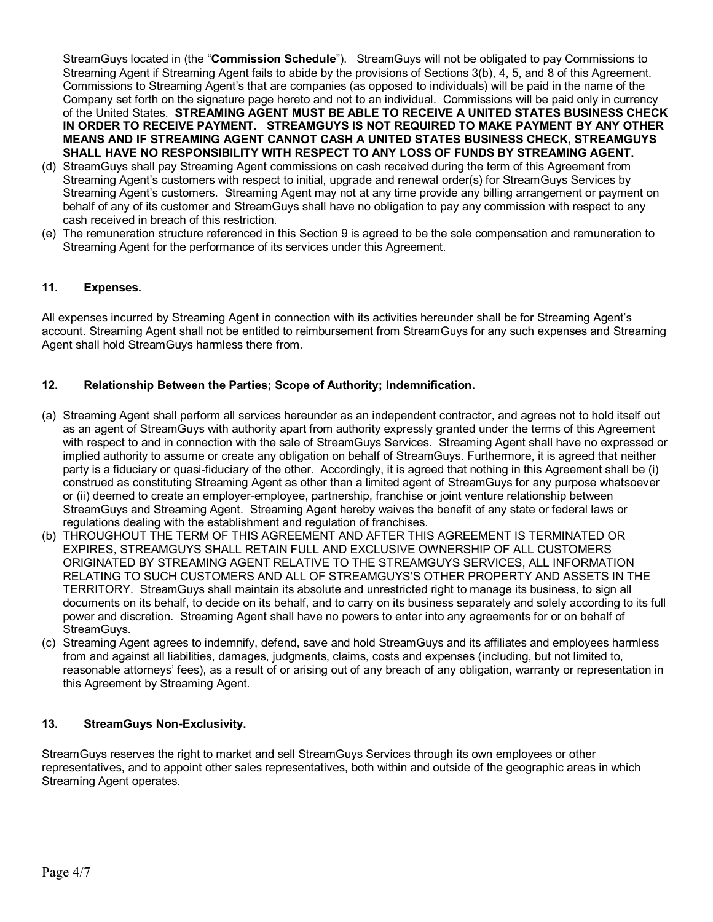StreamGuys located in (the "**Commission Schedule**"). StreamGuys will not be obligated to pay Commissions to Streaming Agent if Streaming Agent fails to abide by the provisions of Sections 3(b), 4, 5, and 8 of this Agreement. Commissions to Streaming Agent's that are companies (as opposed to individuals) will be paid in the name of the Company set forth on the signature page hereto and not to an individual. Commissions will be paid only in currency of the United States. **STREAMING AGENT MUST BE ABLE TO RECEIVE A UNITED STATES BUSINESS CHECK IN ORDER TO RECEIVE PAYMENT. STREAMGUYS IS NOT REQUIRED TO MAKE PAYMENT BY ANY OTHER MEANS AND IF STREAMING AGENT CANNOT CASH A UNITED STATES BUSINESS CHECK, STREAMGUYS SHALL HAVE NO RESPONSIBILITY WITH RESPECT TO ANY LOSS OF FUNDS BY STREAMING AGENT.** 

- (d) StreamGuys shall pay Streaming Agent commissions on cash received during the term of this Agreement from Streaming Agent's customers with respect to initial, upgrade and renewal order(s) for StreamGuys Services by Streaming Agent's customers. Streaming Agent may not at any time provide any billing arrangement or payment on behalf of any of its customer and StreamGuys shall have no obligation to pay any commission with respect to any cash received in breach of this restriction.
- (e) The remuneration structure referenced in this Section 9 is agreed to be the sole compensation and remuneration to Streaming Agent for the performance of its services under this Agreement.

## **11. Expenses.**

All expenses incurred by Streaming Agent in connection with its activities hereunder shall be for Streaming Agent's account. Streaming Agent shall not be entitled to reimbursement from StreamGuys for any such expenses and Streaming Agent shall hold StreamGuys harmless there from.

#### **12. Relationship Between the Parties; Scope of Authority; Indemnification.**

- (a) Streaming Agent shall perform all services hereunder as an independent contractor, and agrees not to hold itself out as an agent of StreamGuys with authority apart from authority expressly granted under the terms of this Agreement with respect to and in connection with the sale of StreamGuys Services. Streaming Agent shall have no expressed or implied authority to assume or create any obligation on behalf of StreamGuys. Furthermore, it is agreed that neither party is a fiduciary or quasi-fiduciary of the other. Accordingly, it is agreed that nothing in this Agreement shall be (i) construed as constituting Streaming Agent as other than a limited agent of StreamGuys for any purpose whatsoever or (ii) deemed to create an employer-employee, partnership, franchise or joint venture relationship between StreamGuys and Streaming Agent. Streaming Agent hereby waives the benefit of any state or federal laws or regulations dealing with the establishment and regulation of franchises.
- (b) THROUGHOUT THE TERM OF THIS AGREEMENT AND AFTER THIS AGREEMENT IS TERMINATED OR EXPIRES, STREAMGUYS SHALL RETAIN FULL AND EXCLUSIVE OWNERSHIP OF ALL CUSTOMERS ORIGINATED BY STREAMING AGENT RELATIVE TO THE STREAMGUYS SERVICES, ALL INFORMATION RELATING TO SUCH CUSTOMERS AND ALL OF STREAMGUYS'S OTHER PROPERTY AND ASSETS IN THE TERRITORY. StreamGuys shall maintain its absolute and unrestricted right to manage its business, to sign all documents on its behalf, to decide on its behalf, and to carry on its business separately and solely according to its full power and discretion. Streaming Agent shall have no powers to enter into any agreements for or on behalf of StreamGuys.
- (c) Streaming Agent agrees to indemnify, defend, save and hold StreamGuys and its affiliates and employees harmless from and against all liabilities, damages, judgments, claims, costs and expenses (including, but not limited to, reasonable attorneys' fees), as a result of or arising out of any breach of any obligation, warranty or representation in this Agreement by Streaming Agent.

## **13. StreamGuys Non-Exclusivity.**

StreamGuys reserves the right to market and sell StreamGuys Services through its own employees or other representatives, and to appoint other sales representatives, both within and outside of the geographic areas in which Streaming Agent operates.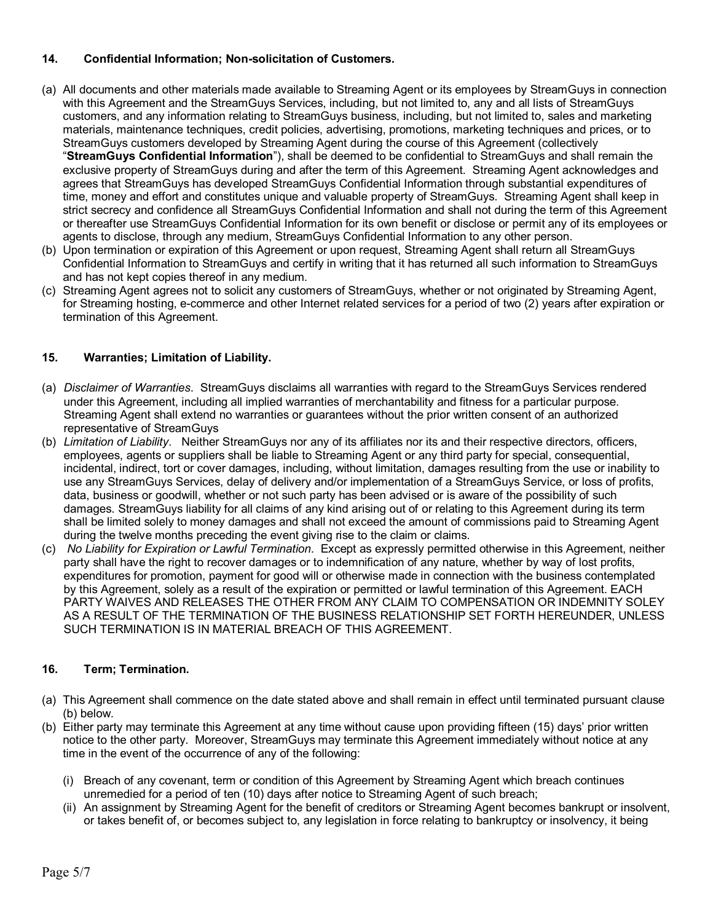## **14. Confidential Information; Non-solicitation of Customers.**

- (a) All documents and other materials made available to Streaming Agent or its employees by StreamGuys in connection with this Agreement and the StreamGuys Services, including, but not limited to, any and all lists of StreamGuys customers, and any information relating to StreamGuys business, including, but not limited to, sales and marketing materials, maintenance techniques, credit policies, advertising, promotions, marketing techniques and prices, or to StreamGuys customers developed by Streaming Agent during the course of this Agreement (collectively "**StreamGuys Confidential Information**"), shall be deemed to be confidential to StreamGuys and shall remain the exclusive property of StreamGuys during and after the term of this Agreement. Streaming Agent acknowledges and agrees that StreamGuys has developed StreamGuys Confidential Information through substantial expenditures of time, money and effort and constitutes unique and valuable property of StreamGuys. Streaming Agent shall keep in strict secrecy and confidence all StreamGuys Confidential Information and shall not during the term of this Agreement or thereafter use StreamGuys Confidential Information for its own benefit or disclose or permit any of its employees or agents to disclose, through any medium, StreamGuys Confidential Information to any other person.
- (b) Upon termination or expiration of this Agreement or upon request, Streaming Agent shall return all StreamGuys Confidential Information to StreamGuys and certify in writing that it has returned all such information to StreamGuys and has not kept copies thereof in any medium.
- (c) Streaming Agent agrees not to solicit any customers of StreamGuys, whether or not originated by Streaming Agent, for Streaming hosting, e-commerce and other Internet related services for a period of two (2) years after expiration or termination of this Agreement.

## **15. Warranties; Limitation of Liability.**

- (a) *Disclaimer of Warranties*. StreamGuys disclaims all warranties with regard to the StreamGuys Services rendered under this Agreement, including all implied warranties of merchantability and fitness for a particular purpose. Streaming Agent shall extend no warranties or guarantees without the prior written consent of an authorized representative of StreamGuys
- (b) *Limitation of Liability*. Neither StreamGuys nor any of its affiliates nor its and their respective directors, officers, employees, agents or suppliers shall be liable to Streaming Agent or any third party for special, consequential, incidental, indirect, tort or cover damages, including, without limitation, damages resulting from the use or inability to use any StreamGuys Services, delay of delivery and/or implementation of a StreamGuys Service, or loss of profits, data, business or goodwill, whether or not such party has been advised or is aware of the possibility of such damages. StreamGuys liability for all claims of any kind arising out of or relating to this Agreement during its term shall be limited solely to money damages and shall not exceed the amount of commissions paid to Streaming Agent during the twelve months preceding the event giving rise to the claim or claims.
- (c) *No Liability for Expiration or Lawful Termination*. Except as expressly permitted otherwise in this Agreement, neither party shall have the right to recover damages or to indemnification of any nature, whether by way of lost profits, expenditures for promotion, payment for good will or otherwise made in connection with the business contemplated by this Agreement, solely as a result of the expiration or permitted or lawful termination of this Agreement. EACH PARTY WAIVES AND RELEASES THE OTHER FROM ANY CLAIM TO COMPENSATION OR INDEMNITY SOLEY AS A RESULT OF THE TERMINATION OF THE BUSINESS RELATIONSHIP SET FORTH HEREUNDER, UNLESS SUCH TERMINATION IS IN MATERIAL BREACH OF THIS AGREEMENT.

# **16. Term; Termination.**

- (a) This Agreement shall commence on the date stated above and shall remain in effect until terminated pursuant clause (b) below.
- (b) Either party may terminate this Agreement at any time without cause upon providing fifteen (15) days' prior written notice to the other party. Moreover, StreamGuys may terminate this Agreement immediately without notice at any time in the event of the occurrence of any of the following:
	- (i) Breach of any covenant, term or condition of this Agreement by Streaming Agent which breach continues unremedied for a period of ten (10) days after notice to Streaming Agent of such breach;
	- (ii) An assignment by Streaming Agent for the benefit of creditors or Streaming Agent becomes bankrupt or insolvent, or takes benefit of, or becomes subject to, any legislation in force relating to bankruptcy or insolvency, it being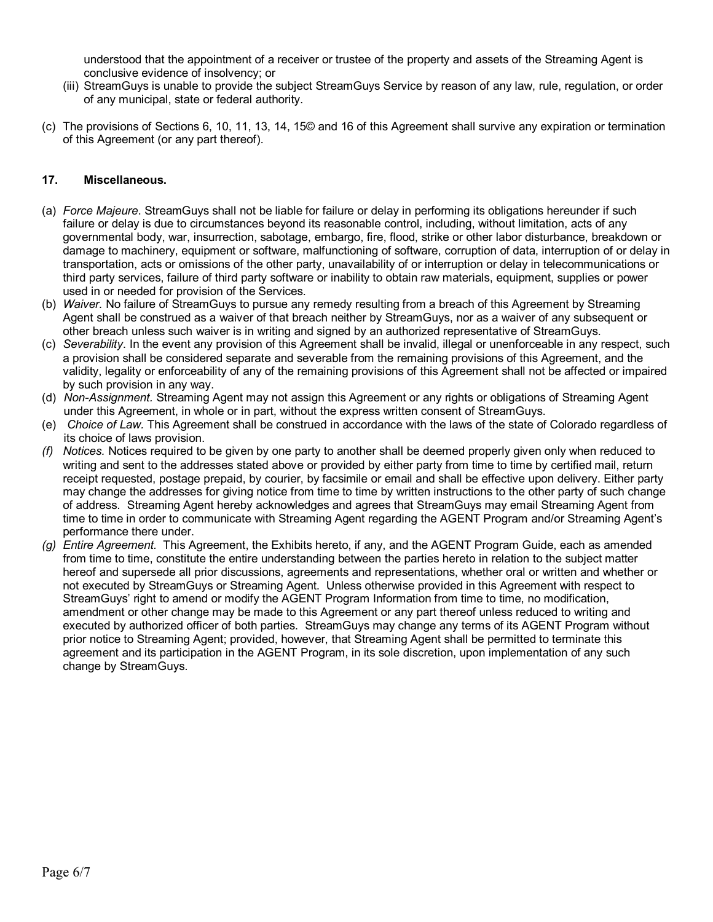understood that the appointment of a receiver or trustee of the property and assets of the Streaming Agent is conclusive evidence of insolvency; or

- (iii) StreamGuys is unable to provide the subject StreamGuys Service by reason of any law, rule, regulation, or order of any municipal, state or federal authority.
- (c) The provisions of Sections 6, 10, 11, 13, 14, 15© and 16 of this Agreement shall survive any expiration or termination of this Agreement (or any part thereof).

### **17. Miscellaneous.**

- (a) *Force Majeure*. StreamGuys shall not be liable for failure or delay in performing its obligations hereunder if such failure or delay is due to circumstances beyond its reasonable control, including, without limitation, acts of any governmental body, war, insurrection, sabotage, embargo, fire, flood, strike or other labor disturbance, breakdown or damage to machinery, equipment or software, malfunctioning of software, corruption of data, interruption of or delay in transportation, acts or omissions of the other party, unavailability of or interruption or delay in telecommunications or third party services, failure of third party software or inability to obtain raw materials, equipment, supplies or power used in or needed for provision of the Services.
- (b) *Waiver.* No failure of StreamGuys to pursue any remedy resulting from a breach of this Agreement by Streaming Agent shall be construed as a waiver of that breach neither by StreamGuys, nor as a waiver of any subsequent or other breach unless such waiver is in writing and signed by an authorized representative of StreamGuys.
- (c) *Severability*. In the event any provision of this Agreement shall be invalid, illegal or unenforceable in any respect, such a provision shall be considered separate and severable from the remaining provisions of this Agreement, and the validity, legality or enforceability of any of the remaining provisions of this Agreement shall not be affected or impaired by such provision in any way.
- (d) *Non-Assignment.* Streaming Agent may not assign this Agreement or any rights or obligations of Streaming Agent under this Agreement, in whole or in part, without the express written consent of StreamGuys.
- (e) *Choice of Law.* This Agreement shall be construed in accordance with the laws of the state of Colorado regardless of its choice of laws provision.
- *(f) Notices.* Notices required to be given by one party to another shall be deemed properly given only when reduced to writing and sent to the addresses stated above or provided by either party from time to time by certified mail, return receipt requested, postage prepaid, by courier, by facsimile or email and shall be effective upon delivery. Either party may change the addresses for giving notice from time to time by written instructions to the other party of such change of address. Streaming Agent hereby acknowledges and agrees that StreamGuys may email Streaming Agent from time to time in order to communicate with Streaming Agent regarding the AGENT Program and/or Streaming Agent's performance there under.
- *(g) Entire Agreement.* This Agreement, the Exhibits hereto, if any, and the AGENT Program Guide, each as amended from time to time, constitute the entire understanding between the parties hereto in relation to the subject matter hereof and supersede all prior discussions, agreements and representations, whether oral or written and whether or not executed by StreamGuys or Streaming Agent. Unless otherwise provided in this Agreement with respect to StreamGuys' right to amend or modify the AGENT Program Information from time to time, no modification, amendment or other change may be made to this Agreement or any part thereof unless reduced to writing and executed by authorized officer of both parties. StreamGuys may change any terms of its AGENT Program without prior notice to Streaming Agent; provided, however, that Streaming Agent shall be permitted to terminate this agreement and its participation in the AGENT Program, in its sole discretion, upon implementation of any such change by StreamGuys.